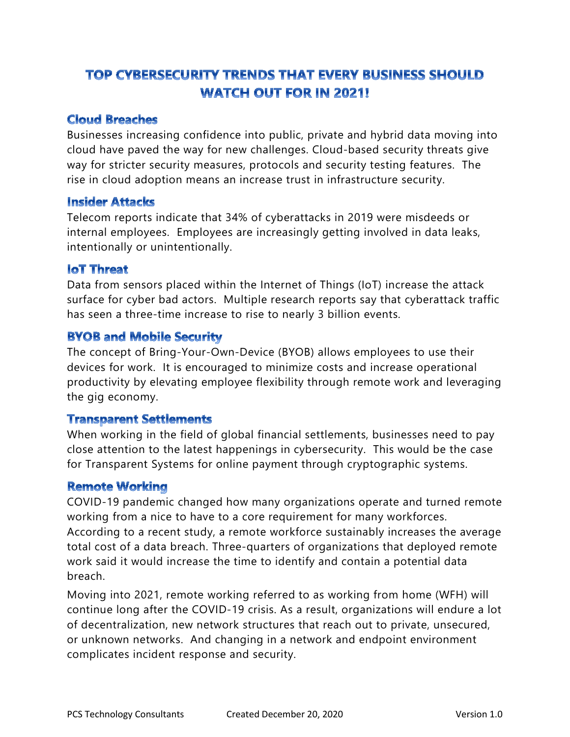# TOP CYBERSECURITY TRENDS THAT EVERY BUSINESS SHOULD **WATCH OUT FOR IN 2021!**

# Cloud Breaches

Businesses increasing confidence into public, private and hybrid data moving into cloud have paved the way for new challenges. Cloud-based security threats give way for stricter security measures, protocols and security testing features. The rise in cloud adoption means an increase trust in infrastructure security.

#### Insider Attacks

Telecom reports indicate that 34% of cyberattacks in 2019 were misdeeds or internal employees. Employees are increasingly getting involved in data leaks, intentionally or unintentionally.

#### loT Threat

Data from sensors placed within the Internet of Things (IoT) increase the attack surface for cyber bad actors. Multiple research reports say that cyberattack traffic has seen a three-time increase to rise to nearly 3 billion events.

# BYOB and Mobile Security

The concept of Bring-Your-Own-Device (BYOB) allows employees to use their devices for work. It is encouraged to minimize costs and increase operational productivity by elevating employee flexibility through remote work and leveraging the gig economy.

#### Transparent Settlements

When working in the field of global financial settlements, businesses need to pay close attention to the latest happenings in cybersecurity. This would be the case for Transparent Systems for online payment through cryptographic systems.

#### Remote Working

COVID-19 pandemic changed how many organizations operate and turned remote working from a nice to have to a core requirement for many workforces. According to a recent study, a remote workforce sustainably increases the average total cost of a data breach. Three-quarters of organizations that deployed remote work said it would increase the time to identify and contain a potential data breach.

Moving into 2021, remote working referred to as working from home (WFH) will continue long after the COVID-19 crisis. As a result, organizations will endure a lot of decentralization, new network structures that reach out to private, unsecured, or unknown networks. And changing in a network and endpoint environment complicates incident response and security.